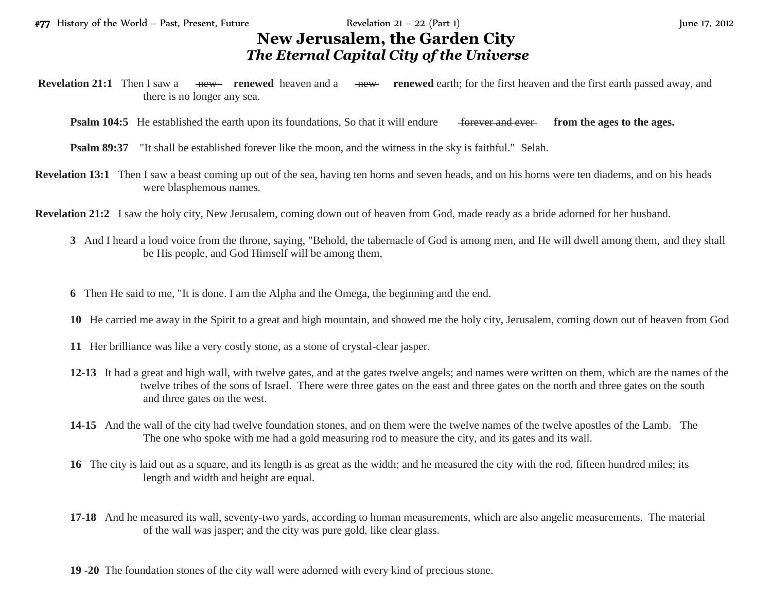## **New Jerusalem, the Garden City** *The Eternal Capital City of the Universe*

- **Revelation 21:1** Then I saw a <del>new</del> **renewed** heaven and a new **renewed** earth; for the first heaven and the first earth passed away, and there is no longer any sea.
	- **Psalm 104:5** He established the earth upon its foundations, So that it will endure for the set from the ages to the ages.
	- **Psalm 89:37** "It shall be established forever like the moon, and the witness in the sky is faithful." Selah.
- **Revelation 13:1** Then I saw a beast coming up out of the sea, having ten horns and seven heads, and on his horns were ten diadems, and on his heads were blasphemous names.
- **Revelation 21:2** I saw the holy city, New Jerusalem, coming down out of heaven from God, made ready as a bride adorned for her husband.
	- **3** And I heard a loud voice from the throne, saying, "Behold, the tabernacle of God is among men, and He will dwell among them, and they shall be His people, and God Himself will be among them,
	- **6** Then He said to me, "It is done. I am the Alpha and the Omega, the beginning and the end.
	- **10** He carried me away in the Spirit to a great and high mountain, and showed me the holy city, Jerusalem, coming down out of heaven from God
	- **11** Her brilliance was like a very costly stone, as a stone of crystal-clear jasper.
	- **12-13** It had a great and high wall, with twelve gates, and at the gates twelve angels; and names were written on them, which are the names of the twelve tribes of the sons of Israel. There were three gates on the east and three gates on the north and three gates on the south and three gates on the west.
	- **14-15** And the wall of the city had twelve foundation stones, and on them were the twelve names of the twelve apostles of the Lamb. The The one who spoke with me had a gold measuring rod to measure the city, and its gates and its wall.
	- **16** The city is laid out as a square, and its length is as great as the width; and he measured the city with the rod, fifteen hundred miles; its length and width and height are equal.
	- **17-18** And he measured its wall, seventy-two yards, according to human measurements, which are also angelic measurements. The material of the wall was jasper; and the city was pure gold, like clear glass.
	- **19 -20** The foundation stones of the city wall were adorned with every kind of precious stone.